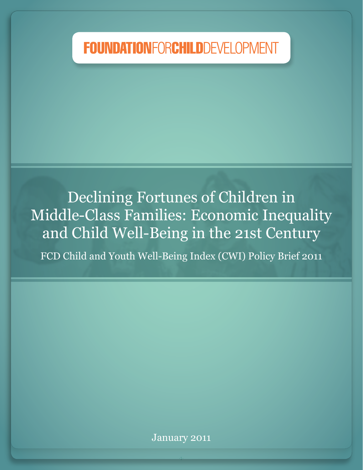# **FOUNDATIONFORCHILDDEVELOPMENT**

## Declining Fortunes of Children in Middle-Class Families: Economic Inequality and Child Well-Being in the 21st Century

FCD Child and Youth Well-Being Index (CWI) Policy Brief 2011

January 2011

. 1.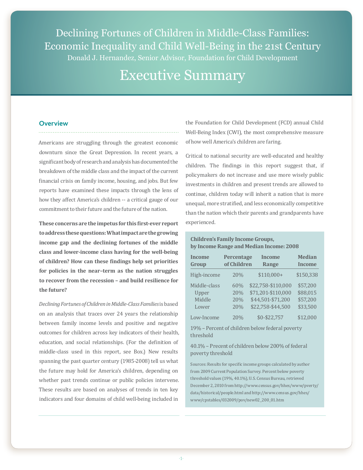Declining Fortunes of Children in Middle-Class Families: Economic Inequality and Child Well-Being in the 21st Century Donald J. Hernandez, Senior Advisor, Foundation for Child Development

## Executive Summary

#### **Overview**

Americans are struggling through the greatest economic downturn since the Great Depression. In recent years, a significant body of research and analysis has documented the breakdown of the middle class and the impact of the current financial crisis on family income, housing, and jobs. But few reports have examined these impacts through the lens of how they affect America's children -- a critical gauge of our commitment to their future and the future of the nation.

**These concerns are the impetus for this first-ever report to address these questions: What impact are the growing income gap and the declining fortunes of the middle class and lower-income class having for the well-being of children? How can these findings help set priorities for policies in the near–term as the nation struggles to recover from the recession – and build resilience for the future?**

*Declining Fortunes of Children in Middle-Class Families* is based on an analysis that traces over 24 years the relationship between family income levels and positive and negative outcomes for children across key indicators of their health, education, and social relationships. (For the definition of middle-class used in this report, see Box.) New results spanning the past quarter century (1985-2008) tell us what the future may hold for America's children, depending on whether past trends continue or public policies intervene. These results are based on analyses of trends in ten key indicators and four domains of child well-being included in

the Foundation for Child Development (FCD) annual Child Well-Being Index (CWI), the most comprehensive measure of how well America's children are faring.

Critical to national security are well-educated and healthy children. The findings in this report suggest that, if policymakers do not increase and use more wisely public investments in children and present trends are allowed to continue, children today will inherit a nation that is more unequal, more stratified, and less economically competitive than the nation which their parents and grandparents have experienced.

#### **Children's Family Income Groups, by Income Range and Median Income: 2008**

| <b>Income</b> | Percentage  | <b>Income</b>      | <b>Median</b> |
|---------------|-------------|--------------------|---------------|
| Group         | of Children | Range              | <b>Income</b> |
| High-income   | 20%         | $$110,000+$        | \$150,338     |
| Middle-class  | 60%         | \$22,758-\$110,000 | \$57,200      |
| Upper         | 20%         | \$71,201-\$110,000 | \$88,015      |
| Middle        | 20%         | \$44,501-\$71,200  | \$57,200      |
| Lower         | 20%         | \$22,758-\$44,500  | \$33,500      |
| Low-Income    | 20%         | \$0-\$22,757       | \$12,000      |

19% – Percent of children below federal poverty threshold

40.1% – Precent of children below 200% of federal poverty threshold

Sources: Results for specific income groups calculated by author from 2009 Current Population Survey. Percent below poverty threshold values (19%, 40.1%), U.S. Census Bureau, retrieved December 2, 2010 from http://www.census.gov/hhes/www/pverty/ data/historical/people.html and http://www.census.gov/hhes/ www/cpstables/032009/pov/new02\_200\_01.htm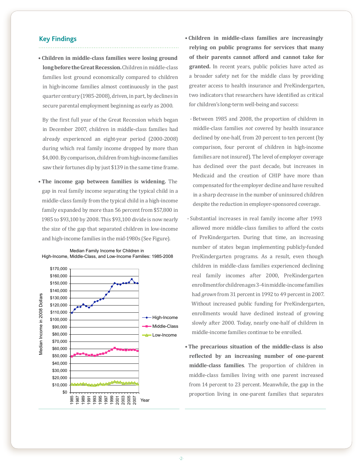#### **Key Findings**

• **Children in middle-class families were losing ground long before the Great Recession.** Children in middle-class families lost ground economically compared to children in high-income families almost continuously in the past quarter century (1985-2008), driven, in part, by declines in secure parental employment beginning as early as 2000.

By the first full year of the Great Recession which began in December 2007, children in middle-class families had already experienced an eight-year period (2000-2008) during which real family income dropped by more than \$4,000. By comparison, children from high-income families saw their fortunes dip by just \$139 in the same time frame.

• **The income gap between families is widening.** The gap in real family income separating the typical child in a middle-class family from the typical child in a high-income family expanded by more than 56 percent from \$57,800 in 1985 to \$93,100 by 2008. This \$93,100 divide is now nearly the size of the gap that separated children in low-income and high-income families in the mid-1980s (See Figure).





- **Children in middle-class families are increasingly relying on public programs for services that many of their parents cannot afford and cannot take for granted.** In recent years, public policies have acted as a broader safety net for the middle class by providing greater access to health insurance and PreKindergarten, two indicators that researchers have identified as critical for children's long-term well-being and success:
	- Between 1985 and 2008, the proportion of children in middle-class families *not* covered by health insurance declined by one-half, from 20 percent to ten percent (by comparison, four percent of children in high-income families are not insured). The level of employer coverage has declined over the past decade, but increases in Medicaid and the creation of CHIP have more than compensated for the employer decline and have resulted in a sharp decrease in the number of uninsured children despite the reduction in employer-sponsored coverage.
- Substantial increases in real family income after 1993 allowed more middle-class families to afford the costs of PreKindergarten. During that time, an increasing number of states began implementing publicly-funded PreKindergarten programs. As a result, even though children in middle-class families experienced declining real family incomes after 2000, PreKindergarten enrollment for children ages 3-4 in middle-income families had *grown* from 31 percent in 1992 to 49 percent in 2007. Without increased public funding for PreKindergarten, enrollments would have declined instead of growing slowly after 2000. Today, nearly one-half of children in middle-income families continue to be enrolled.
- **The precarious situation of the middle-class is also reflected by an increasing number of one-parent middle-class families**. The proportion of children in middle-class families living with one parent increased from 14 percent to 23 percent. Meanwhile, the gap in the proportion living in one-parent families that separates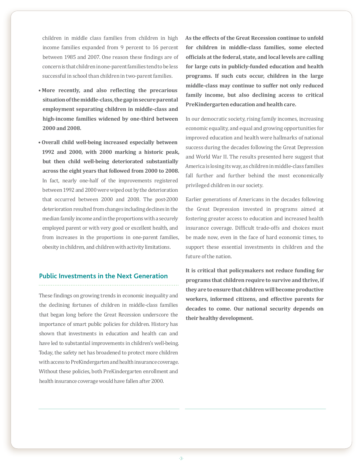children in middle class families from children in high income families expanded from 9 percent to 16 percent between 1985 and 2007. One reason these findings are of concern is that children in one-parent families tend to be less successful in school than children in two-parent families.

- **More recently, and also reflecting the precarious situation of the middle-class, the gap in secure parental employment separating children in middle-class and high-income families widened by one-third between 2000 and 2008.**
- **Overall child well-being increased especially between 1992 and 2000, with 2000 marking a historic peak, but then child well-being deteriorated substantially across the eight years that followed from 2000 to 2008.** In fact, nearly one-half of the improvements registered between 1992 and 2000 were wiped out by the deterioration that occurred between 2000 and 2008. The post-2000 deterioration resulted from changes including declines in the median family income and in the proportions with a securely employed parent or with very good or excellent health, and from increases in the proportions in one-parent families, obesity in children, and children with activity limitations.

#### **Public Investments in the Next Generation**

These findings on growing trends in economic inequality and the declining fortunes of children in middle-class families that began long before the Great Recession underscore the importance of smart public policies for children. History has shown that investments in education and health can and have led to substantial improvements in children's well-being. Today, the safety net has broadened to protect more children with access to PreKindergarten and health insurance coverage. Without these policies, both PreKindergarten enrollment and health insurance coverage would have fallen after 2000.

**As the effects of the Great Recession continue to unfold for children in middle-class families, some elected officials at the federal, state, and local levels are calling for large cuts in publicly-funded education and health programs. If such cuts occur, children in the large middle-class may continue to suffer not only reduced family income, but also declining access to critical PreKindergarten education and health care.**

In our democratic society, rising family incomes, increasing economic equality, and equal and growing opportunities for improved education and health were hallmarks of national success during the decades following the Great Depression and World War II. The results presented here suggest that America is losing its way, as children in middle-class families fall further and further behind the most economically privileged children in our society.

Earlier generations of Americans in the decades following the Great Depression invested in programs aimed at fostering greater access to education and increased health insurance coverage. Difficult trade-offs and choices must be made now, even in the face of hard economic times, to support these essential investments in children and the future of the nation.

**It is critical that policymakers not reduce funding for programs that children require to survive and thrive, if they are to ensure that children will become productive workers, informed citizens, and effective parents for decades to come. Our national security depends on their healthy development.**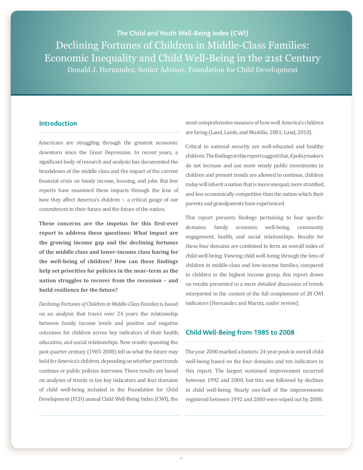**The Child and Youth Well-Being Index (CWI)** Declining Fortunes of Children in Middle-Class Families: Economic Inequality and Child Well-Being in the 21st Century

Donald J. Hernandez, Senior Advisor, Foundation for Child Development

### **Introduction**

Americans are struggling through the greatest economic downturn since the Great Depression. In recent years, a significant body of research and analysis has documented the breakdown of the middle class and the impact of the current financial crisis on family income, housing, and jobs. But few reports have examined these impacts through the lens of how they affect America's children -- a critical gauge of our commitment to their future and the future of the nation.

**These concerns are the impetus for this first-ever report to address these questions: What impact are the growing income gap and the declining fortunes of the middle class and lower-income class having for the well-being of children? How can these findings help set priorities for policies in the near–term as the nation struggles to recover from the recession – and build resilience for the future?**

*Declining Fortunes of Children in Middle-Class Families* is based on an analysis that traces over 24 years the relationship between family income levels and positive and negative outcomes for children across key indicators of their health, education, and social relationships. New results spanning the past quarter century (1985-2008) tell us what the future may hold for America's children, depending on whether past trends continue or public policies intervene. These results are based on analyses of trends in ten key indicators and four domains of child well-being included in the Foundation for Child Development (FCD) annual Child Well-Being Index (CWI), the

most comprehensive measure of how well America's children are faring (Land, Lamb, and Mustillo, 2001; Land, 2010).

Critical to national security are well-educated and healthy children. The findings in this report suggest that, if policymakers do not increase and use more wisely public investments in children and present trends are allowed to continue, children today will inherit a nation that is more unequal, more stratified, and less economically competitive than the nation which their parents and grandparents have experienced.

This report presents findings pertaining to four specific domains: family economic well-being, community engagement, health, and social relationships. Results for these four domains are combined to form an overall index of child well-being. Viewing child well-being through the lens of children in middle-class and low-income families, compared to children in the highest income group, this report draws on results presented in a more detailed discussion of trends interpreted in the context of the full complement of 28 CWI indicators (Hernandez and Marotz, under review).

## **Child Well-Being from 1985 to 2008**

The year 2000 marked a historic 24-year peak in overall child well-being based on the four domains and ten indicators in this report. The largest sustained improvement occurred between 1992 and 2000, but this was followed by declines in child well-being. Nearly one-half of the improvements registered between 1992 and 2000 were wiped out by 2008.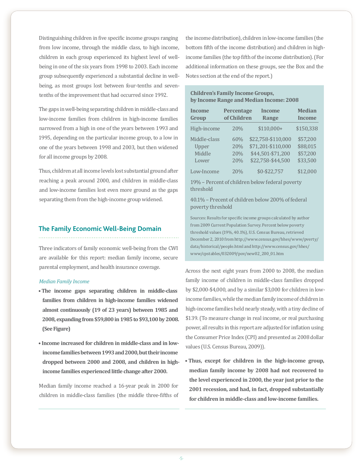Distinguishing children in five specific income groups ranging from low income, through the middle class, to high income, children in each group experienced its highest level of wellbeing in one of the six years from 1998 to 2003. Each income group subsequently experienced a substantial decline in wellbeing, as most groups lost between four-tenths and seventenths of the improvement that had occurred since 1992.

The gaps in well-being separating children in middle-class and low-income families from children in high-income families narrowed from a high in one of the years between 1993 and 1995, depending on the particular income group, to a low in one of the years between 1998 and 2003, but then widened for all income groups by 2008.

Thus, children at all income levels lost substantial ground after reaching a peak around 2000, and children in middle-class and low-income families lost even more ground as the gaps separating them from the high-income group widened.

#### **The Family Economic Well-Being Domain**

Three indicators of family economic well-being from the CWI are available for this report: median family income, secure parental employment, and health insurance coverage.

#### *Median Family Income*

- **The income gaps separating children in middle-class families from children in high-income families widened almost continuously (19 of 23 years) between 1985 and 2008, expanding from \$59,800 in 1985 to \$93,100 by 2008. (See Figure)**
- **Income increased for children in middle-class and in lowincome families between 1993 and 2000, but their income dropped between 2000 and 2008, and children in highincome families experienced little change after 2000.**

Median family income reached a 16-year peak in 2000 for children in middle-class families (the middle three-fifths of the income distribution), children in low-income families (the bottom fifth of the income distribution) and children in highincome families (the top fifth of the income distribution). (For additional information on these groups, see the Box and the Notes section at the end of the report.)

#### **Children's Family Income Groups, by Income Range and Median Income: 2008**

| <b>Income</b> | Percentage  | <b>Income</b>      | <b>Median</b> |
|---------------|-------------|--------------------|---------------|
| Group         | of Children | <b>Range</b>       | <b>Income</b> |
| High-income   | 20%         | $$110,000+$        | \$150,338     |
| Middle-class  | 60%         | \$22,758-\$110,000 | \$57,200      |
| Upper         | 20%         | \$71,201-\$110,000 | \$88,015      |
| Middle        | 20%         | \$44,501-\$71,200  | \$57,200      |
| Lower         | 20%         | \$22,758-\$44,500  | \$33,500      |
| Low-Income    | 20%         | \$0-\$22,757       | \$12,000      |

19% – Percent of children below federal poverty threshold

40.1% – Precent of children below 200% of federal poverty threshold

Sources: Results for specific income groups calculated by author from 2009 Current Population Survey. Percent below poverty threshold values (19%, 40.1%), U.S. Census Bureau, retrieved December 2, 2010 from http://www.census.gov/hhes/www/pverty/ data/historical/people.html and http://www.census.gov/hhes/ www/cpstables/032009/pov/new02\_200\_01.htm

Across the next eight years from 2000 to 2008, the median family income of children in middle-class families dropped by \$2,000-\$4,000, and by a similar \$3,000 for children in lowincome families, while the median family income of children in high-income families held nearly steady, with a tiny decline of \$139. (To measure change in real income, or real purchasing power, all results in this report are adjusted for inflation using the Consumer Price Index (CPI) and presented as 2008 dollar values (U.S. Census Bureau, 2009)).

**• Thus, except for children in the high-income group, median family income by 2008 had not recovered to the level experienced in 2000, the year just prior to the 2001 recession, and had, in fact, dropped substantially for children in middle-class and low-income families.**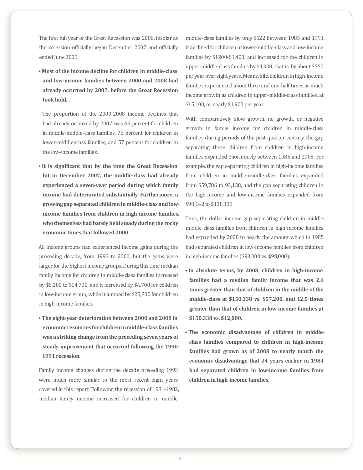The first full year of the Great Recession was 2008, insofar as the recession officially began December 2007 and officially ended June 2009.

**• Most of the income decline for children in middle-class and low-income families between 2000 and 2008 had already occurred by 2007, before the Great Recession took hold.** 

The proportion of the 2000-2008 income declines that had already occurred by 2007 was 65 percent for children in middle-middle-class families, 76 percent for children in lower-middle-class families, and 57 percent for children in the low-income families.

**• It is significant that by the time the Great Recession hit in December 2007, the middle-class had already experienced a seven-year period during which family income had deteriorated substantially. Furthermore, a growing gap separated children in middle-class and lowincome families from children in high-income families, who themselves had barely held steady during the rocky economic times that followed 2000.**

All income groups had experienced income gains during the preceding decade, from 1993 to 2000, but the gains were larger for the highest income groups. During this time median family income for children in middle-class families increased by \$8,100 to \$14,700, and it increased by \$4,700 for children in low-income group, while it jumped by \$25,800 for children in high-income families.

**• The eight-year deterioration between 2000 and 2008 in economic resources for children in middle-class families was a striking change from the preceding seven years of steady improvement that occurred following the 1990- 1991 recession.**

Family income changes during the decade preceding 1993 were much more similar to the most recent eight years covered in this report. Following the recession of 1981-1982, median family income increased for children in middlemiddle-class families by only \$522 between 1985 and 1993, it declined for children in lower-middle-class and low-income families by \$1200-\$1,400, and increased for the children in upper-middle-class families by \$4,300, that is, by about \$550 per year over eight years. Meanwhile, children in high-income families experienced about three and one-half times as much income growth as children in upper-middle-class families, at \$15,100, or nearly \$1,900 per year.

With comparatively slow growth, no growth, or negative growth in family income for children in middle-class families during periods of the past quarter-century, the gap separating these children from children in high-income families expanded enormously between 1985 and 2008. For example, the gap separating children in high-income families from children in middle-middle-class families expanded from \$59,786 to 93,138, and the gap separating children in the high-income and low-income families expanded from \$98,142 to \$138,338.

Thus, the dollar income gap separating children in middlemiddle-class families from children in high-income families had expanded by 2008 to nearly the amount which in 1985 had separated children in low-income families from children in high-income families (\$93,000 vs. \$98,000).

- **In absolute terms, by 2008, children in high-income families had a median family income that was 2.6 times greater than that of children in the middle of the middle-class at \$150,338 vs. \$57,200, and 12.5 times greater than that of children in low-income families at \$150,338 vs. \$12,000.**
- **The economic disadvantage of children in middleclass families compared to children in high-income families had grown as of 2008 to nearly match the economic disadvantage that 24 years earlier in 1984 had separated children in low-income families from children in high-income families.**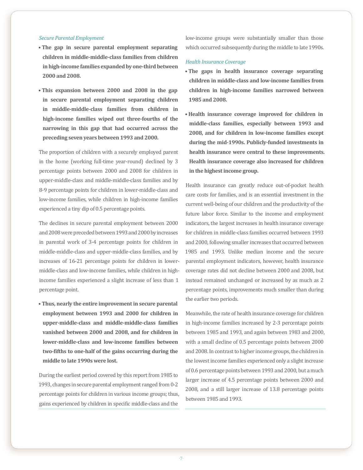#### *Secure Parental Employment*

- **The gap in secure parental employment separating children in middle-middle-class families from children in high-income families expanded by one-third between 2000 and 2008.**
- **This expansion between 2000 and 2008 in the gap in secure parental employment separating children in middle-middle-class families from children in high-income families wiped out three-fourths of the narrowing in this gap that had occurred across the preceding seven years between 1993 and 2000.**

The proportion of children with a securely employed parent in the home (working full-time year-round) declined by 3 percentage points between 2000 and 2008 for children in upper-middle-class and middle-middle-class families and by 8-9 percentage points for children in lower-middle-class and low-income families, while children in high-income families experienced a tiny dip of 0.5 percentage points.

The declines in secure parental employment between 2000 and 2008 were preceded between 1993 and 2000 by increases in parental work of 3-4 percentage points for children in middle-middle-class and upper-middle-class families, and by increases of 16-21 percentage points for children in lowermiddle-class and low-income families, while children in highincome families experienced a slight increase of less than 1 percentage point.

**• Thus, nearly the entire improvement in secure parental employment between 1993 and 2000 for children in upper-middle-class and middle-middle-class families vanished between 2000 and 2008, and for children in lower-middle-class and low-income families between two-fifths to one-half of the gains occurring during the middle to late 1990s were lost.** 

During the earliest period covered by this report from 1985 to 1993, changes in secure parental employment ranged from 0-2 percentage points for children in various income groups; thus, gains experienced by children in specific middle-class and the

low-income groups were substantially smaller than those which occurred subsequently during the middle to late 1990s.

#### *Health Insurance Coverage*

- **The gaps in health insurance coverage separating children in middle-class and low-income families from children in high-income families narrowed between 1985 and 2008.**
- **Health insurance coverage improved for children in middle-class families, especially between 1993 and 2008, and for children in low-income families except during the mid-1990s. Publicly-funded investments in health insurance were central to these improvements. Health insurance coverage also increased for children in the highest income group.**

Health insurance can greatly reduce out-of-pocket health care costs for families, and is an essential investment in the current well-being of our children and the productivity of the future labor force. Similar to the income and employment indicators, the largest increases in health insurance coverage for children in middle-class families occurred between 1993 and 2000, following smaller increases that occurred between 1985 and 1993. Unlike median income and the secure parental employment indicators, however, health insurance coverage rates did not decline between 2000 and 2008, but instead remained unchanged or increased by as much as 2 percentage points, improvements much smaller than during the earlier two periods.

Meanwhile, the rate of health insurance coverage for children in high-income families increased by 2-3 percentage points between 1985 and 1993, and again between 1983 and 2000, with a small decline of 0.5 percentage points between 2000 and 2008. In contrast to higher income groups, the children in the lowest income families experienced only a slight increase of 0.6 percentage points between 1993 and 2000, but a much larger increase of 4.5 percentage points between 2000 and 2008, and a still larger increase of 13.8 percentage points between 1985 and 1993.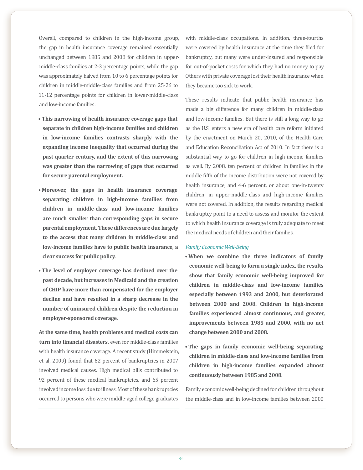Overall, compared to children in the high-income group, the gap in health insurance coverage remained essentially unchanged between 1985 and 2008 for children in uppermiddle-class families at 2-3 percentage points, while the gap was approximately halved from 10 to 6 percentage points for children in middle-middle-class families and from 25-26 to 11-12 percentage points for children in lower-middle-class and low-income families.

- **This narrowing of health insurance coverage gaps that separate in children high-income families and children in low-income families contrasts sharply with the expanding income inequality that occurred during the past quarter century, and the extent of this narrowing was greater than the narrowing of gaps that occurred for secure parental employment.**
- **Moreover, the gaps in health insurance coverage separating children in high-income families from children in middle-class and low-income families are much smaller than corresponding gaps in secure parental employment. These differences are due largely to the access that many children in middle-class and low-income families have to public health insurance, a clear success for public policy.**
- **The level of employer coverage has declined over the past decade, but increases in Medicaid and the creation of CHIP have more than compensated for the employer decline and have resulted in a sharp decrease in the number of uninsured children despite the reduction in employer-sponsored coverage.**

**At the same time, health problems and medical costs can turn into financial disasters,** even for middle-class families with health insurance coverage. A recent study (Himmelstein, et al, 2009) found that 62 percent of bankruptcies in 2007 involved medical causes. High medical bills contributed to 92 percent of these medical bankruptcies, and 65 percent involved income loss due to illness. Most of these bankruptcies occurred to persons who were middle-aged college graduates

with middle-class occupations. In addition, three-fourths were covered by health insurance at the time they filed for bankruptcy, but many were under-insured and responsible for out-of-pocket costs for which they had no money to pay. Others with private coverage lost their health insurance when they became too sick to work.

These results indicate that public health insurance has made a big difference for many children in middle-class and low-income families. But there is still a long way to go as the U.S. enters a new era of health care reform initiated by the enactment on March 20, 2010, of the Health Care and Education Reconciliation Act of 2010. In fact there is a substantial way to go for children in high-income families as well. By 2008, ten percent of children in families in the middle fifth of the income distribution were not covered by health insurance, and 4-6 percent, or about one-in-twenty children, in upper-middle-class and high-income families were not covered. In addition, the results regarding medical bankruptcy point to a need to assess and monitor the extent to which health insurance coverage is truly adequate to meet the medical needs of children and their families.

#### *Family Economic Well-Being*

- **When we combine the three indicators of family economic well-being to form a single index, the results show that family economic well-being improved for children in middle-class and low-income families especially between 1993 and 2000, but deteriorated between 2000 and 2008. Children in high-income families experienced almost continuous, and greater, improvements between 1985 and 2000, with no net change between 2000 and 2008.**
- **The gaps in family economic well-being separating children in middle-class and low-income families from children in high-income families expanded almost continuously between 1985 and 2008.**

Family economic well-being declined for children throughout the middle-class and in low-income families between 2000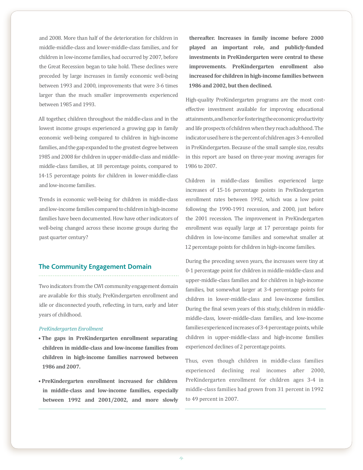and 2008. More than half of the deterioration for children in middle-middle-class and lower-middle-class families, and for children in low-income families, had occurred by 2007, before the Great Recession began to take hold. These declines were preceded by large increases in family economic well-being between 1993 and 2000, improvements that were 3-6 times larger than the much smaller improvements experienced between 1985 and 1993.

All together, children throughout the middle-class and in the lowest income groups experienced a growing gap in family economic well-being compared to children in high-income families, and the gap expanded to the greatest degree between 1985 and 2008 for children in upper-middle-class and middlemiddle-class families, at 18 percentage points, compared to 14-15 percentage points for children in lower-middle-class and low-income families.

Trends in economic well-being for children in middle-class and low-income families compared to children in high-income families have been documented. How have other indicators of well-being changed across these income groups during the past quarter century?

#### **The Community Engagement Domain**

Two indicators from the CWI community engagement domain are available for this study, PreKindergarten enrollment and idle or disconnected youth, reflecting, in turn, early and later years of childhood.

#### *PreKindergarten Enrollment*

- **The gaps in PreKindergarten enrollment separating children in middle-class and low-income families from children in high-income families narrowed between 1986 and 2007.**
- **PreKindergarten enrollment increased for children in middle-class and low-income families, especially between 1992 and 2001/2002, and more slowly**

**thereafter. Increases in family income before 2000 played an important role, and publicly-funded investments in PreKindergarten were central to these improvements. PreKindergarten enrollment also increased for children in high-income families between 1986 and 2002, but then declined.**

High-quality PreKindergarten programs are the most costeffective investment available for improving educational attainments, and hence for fostering the economic productivity and life prospects of children when they reach adulthood. The indicator used here is the percent of children ages 3-4 enrolled in PreKindergarten. Because of the small sample size, results in this report are based on three-year moving averages for 1986 to 2007.

Children in middle-class families experienced large increases of 15-16 percentage points in PreKindergarten enrollment rates between 1992, which was a low point following the 1990-1991 recession, and 2000, just before the 2001 recession. The improvement in PreKindergarten enrollment was equally large at 17 percentage points for children in low-income families and somewhat smaller at 12 percentage points for children in high-income families.

During the preceding seven years, the increases were tiny at 0-1 percentage point for children in middle-middle-class and upper-middle-class families and for children in high-income families, but somewhat larger at 3-4 percentage points for children in lower-middle-class and low-income families. During the final seven years of this study, children in middlemiddle-class, lower-middle-class families, and low-income families experienced increases of 3-4 percentage points, while children in upper-middle-class and high-income families experienced declines of 2 percentage points.

Thus, even though children in middle-class families experienced declining real incomes after 2000, PreKindergarten enrollment for children ages 3-4 in middle-class families had grown from 31 percent in 1992 to 49 percent in 2007.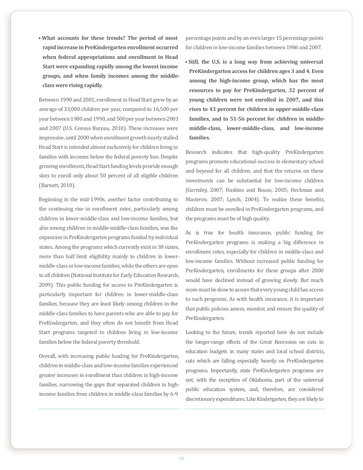**• What accounts for these trends? The period of most rapid increase in PreKindergarten enrollment occurred when federal appropriations and enrollment in Head Start were expanding rapidly among the lowest income groups, and when family incomes among the middleclass were rising rapidly.** 

Between 1990 and 2001, enrollment in Head Start grew by an average of 33,000 children per year, compared to 16,500 per year between 1980 and 1990, and 500 per year between 2001 and 2007 (U.S. Census Bureau, 2010). These increases were impressive, until 2000 when enrollment growth nearly stalled. Head Start is intended almost exclusively for children living in families with incomes below the federal poverty line. Despite growing enrollment, Head Start funding levels provide enough slots to enroll only about 50 percent of all eligible children (Barnett, 2010).

Beginning in the mid-1990s, another factor contributing to the continuing rise in enrollment rates, particularly among children in lower-middle-class and low-income families, but also among children in middle-middle-class families, was the expansion in PreKindergarten programs funded by individual states. Among the programs which currently exist in 38 states, more than half limit eligibility mainly to children in lowermiddle-class or low-income families, while the others are open to all children (National Institute for Early Education Research, 2009). This public funding for access to PreKindergarten is particularly important for children in lower-middle-class families, because they are least likely among children in the middle-class families to have parents who are able to pay for PreKindergarten, and they often do not benefit from Head Start programs targeted to children living in low-income families below the federal poverty threshold.

Overall, with increasing public funding for PreKindergarten, children in middle-class and low-income families experienced greater increases in enrollment than children in high-income families, narrowing the gaps that separated children in highincome families from children in middle-class families by 6-9

percentage points and by an even larger 15 percentage points for children in low-income families between 1986 and 2007.

**• Still, the U.S. is a long way from achieving universal PreKindergarten access for children ages 3 and 4. Even among the high-income group, which has the most resources to pay for PreKindergarten, 32 percent of young children were not enrolled in 2007, and this rises to 43 percent for children in upper-middle-class families, and to 51-56 percent for children in middlemiddle-class, lower-middle-class, and low-income families.**

Research indicates that high-quality PreKindergarten programs promote educational success in elementary school and beyond for all children, and that the returns on these investments can be substantial for low-income children (Gormley, 2007; Haskins and Rouse, 2005; Heckman and Masterov, 2007; Lynch, 2004). To realize these benefits, children must be enrolled in PreKindergarten programs, and the programs must be of high quality.

As is true for health insurance, public funding for PreKindergarten programs is making a big difference in enrollment rates, especially for children in middle-class and low-income families. Without increased public funding for PreKindergarten, enrollments for these groups after 2000 would have declined instead of growing slowly. But much more must be done to assure that every young child has access to such programs. As with health insurance, it is important that public policies assess, monitor, and ensure the quality of PreKindergarten.

Looking to the future, trends reported here do not include the longer-range effects of the Great Recession on cuts in education budgets in many states and local school districts, cuts which are falling especially heavily on PreKindergarten programs. Importantly, state PreKindergarten programs are not, with the exception of Oklahoma, part of the universal public education system, and, therefore, are considered discretionary expenditures. Like Kindergarten, they are likely to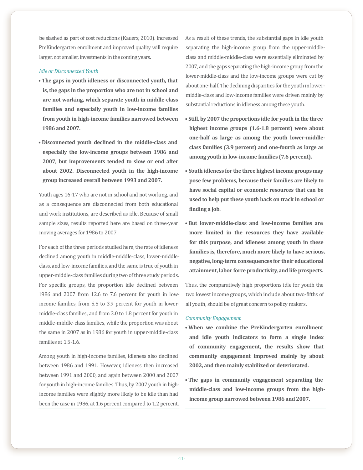be slashed as part of cost reductions (Kauerz, 2010). Increased PreKindergarten enrollment and improved quality will require larger, not smaller, investments in the coming years.

#### *Idle or Disconnected Youth*

- **The gaps in youth idleness or disconnected youth, that is, the gaps in the proportion who are not in school and are not working, which separate youth in middle-class families and especially youth in low-income families from youth in high-income families narrowed between 1986 and 2007.**
- **Disconnected youth declined in the middle-class and especially the low-income groups between 1986 and 2007, but improvements tended to slow or end after about 2002. Disconnected youth in the high-income group increased overall between 1993 and 2007.**

Youth ages 16-17 who are not in school and not working, and as a consequence are disconnected from both educational and work institutions, are described as idle. Because of small sample sizes, results reported here are based on three-year moving averages for 1986 to 2007.

For each of the three periods studied here, the rate of idleness declined among youth in middle-middle-class, lower-middleclass, and low-income families, and the same is true of youth in upper-middle-class families during two of three study periods. For specific groups, the proportion idle declined between 1986 and 2007 from 12.6 to 7.6 percent for youth in lowincome families, from 5.5 to 3.9 percent for youth in lowermiddle-class families, and from 3.0 to 1.8 percent for youth in middle-middle-class families, while the proportion was about the same in 2007 as in 1986 for youth in upper-middle-class families at 1.5-1.6.

Among youth in high-income families, idleness also declined between 1986 and 1991. However, idleness then increased between 1991 and 2000, and again between 2000 and 2007 for youth in high-income families. Thus, by 2007 youth in highincome families were slightly more likely to be idle than had been the case in 1986, at 1.6 percent compared to 1.2 percent. As a result of these trends, the substantial gaps in idle youth separating the high-income group from the upper-middleclass and middle-middle-class were essentially eliminated by 2007, and the gaps separating the high-income group from the lower-middle-class and the low-income groups were cut by about one-half. The declining disparities for the youth in lowermiddle-class and low-income families were driven mainly by substantial reductions in idleness among these youth.

- **Still, by 2007 the proportions idle for youth in the three highest income groups (1.6-1.8 percent) were about one-half as large as among the youth lower-middleclass families (3.9 percent) and one-fourth as large as among youth in low-income families (7.6 percent).**
- **Youth idleness for the three highest income groups may pose few problems, because their families are likely to have social capital or economic resources that can be used to help put these youth back on track in school or finding a job.**
- **But lower-middle-class and low-income families are more limited in the resources they have available for this purpose, and idleness among youth in these families is, therefore, much more likely to have serious, negative, long-term consequences for their educational attainment, labor force productivity, and life prospects.**

Thus, the comparatively high proportions idle for youth the two lowest income groups, which include about two-fifths of all youth, should be of great concern to policy makers.

#### *Community Engagement*

- **When we combine the PreKindergarten enrollment and idle youth indicators to form a single index of community engagement, the results show that community engagement improved mainly by about 2002, and then mainly stabilized or deteriorated.**
- **The gaps in community engagement separating the middle-class and low-income groups from the highincome group narrowed between 1986 and 2007.**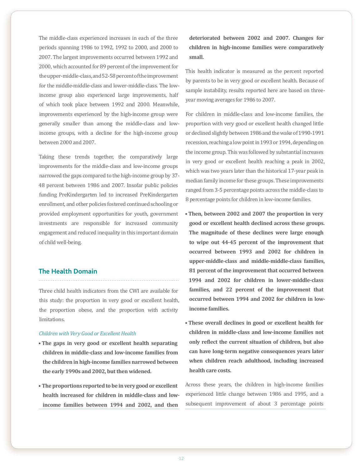The middle-class experienced increases in each of the three periods spanning 1986 to 1992, 1992 to 2000, and 2000 to 2007. The largest improvements occurred between 1992 and 2000, which accounted for 89 percent of the improvement for the upper-middle-class, and 52-58 percent of the improvement for the middle-middle-class and lower-middle-class. The lowincome group also experienced large improvements, half of which took place between 1992 and 2000. Meanwhile, improvements experienced by the high-income group were generally smaller than among the middle-class and lowincome groups, with a decline for the high-income group between 2000 and 2007.

Taking these trends together, the comparatively large improvements for the middle-class and low-income groups narrowed the gaps compared to the high-income group by 37- 48 percent between 1986 and 2007. Insofar public policies funding PreKindergarten led to increased PreKindergarten enrollment, and other policies fostered continued schooling or provided employment opportunities for youth, government investments are responsible for increased community engagement and reduced inequality in this important domain of child well-being.

#### **The Health Domain**

Three child health indicators from the CWI are available for this study: the proportion in very good or excellent health, the proportion obese, and the proportion with activity limitations.

#### *Children with Very Good or Excellent Health*

- **The gaps in very good or excellent health separating children in middle-class and low-income families from the children in high-income families narrowed between the early 1990s and 2002, but then widened.**
- **The proportions reported to be in very good or excellent health increased for children in middle-class and lowincome families between 1994 and 2002, and then**

**deteriorated between 2002 and 2007. Changes for children in high-income families were comparatively small.**

This health indicator is measured as the percent reported by parents to be in very good or excellent health. Because of sample instability, results reported here are based on threeyear moving averages for 1986 to 2007.

For children in middle-class and low-income families, the proportion with very good or excellent health changed little or declined slightly between 1986 and the wake of 1990-1991 recession, reaching a low point in 1993 or 1994, depending on the income group. This was followed by substantial increases in very good or excellent health reaching a peak in 2002, which was two years later than the historical 17-year peak in median family income for these groups. These improvements ranged from 3-5 percentage points across the middle-class to 8 percentage points for children in low-income families.

- **Then, between 2002 and 2007 the proportion in very good or excellent health declined across these groups. The magnitude of these declines were large enough to wipe out 44-45 percent of the improvement that occurred between 1993 and 2002 for children in upper-middle-class and middle-middle-class families, 81 percent of the improvement that occurred between 1994 and 2002 for children in lower-middle-class families, and 22 percent of the improvement that occurred between 1994 and 2002 for children in lowincome families.**
- **These overall declines in good or excellent health for children in middle-class and low-income families not only reflect the current situation of children, but also can have long-term negative consequences years later when children reach adulthood, including increased health care costs.**

Across these years, the children in high-income families experienced little change between 1986 and 1995, and a subsequent improvement of about 3 percentage points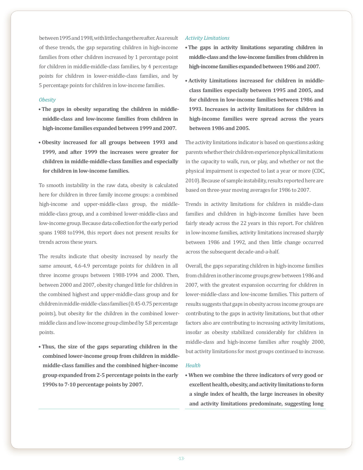between 1995 and 1998, with little change thereafter. As a result of these trends, the gap separating children in high-income families from other children increased by 1 percentage point for children in middle-middle-class families, by 4 percentage points for children in lower-middle-class families, and by 5 percentage points for children in low-income families.

#### *Obesity*

- **The gaps in obesity separating the children in middlemiddle-class and low-income families from children in high-income families expanded between 1999 and 2007.**
- **Obesity increased for all groups between 1993 and 1999, and after 1999 the increases were greater for children in middle-middle-class families and especially for children in low-income families.**

To smooth instability in the raw data, obesity is calculated here for children in three family income groups: a combined high-income and upper-middle-class group, the middlemiddle-class group, and a combined lower-middle-class and low-income group. Because data collection for the early period spans 1988 to1994, this report does not present results for trends across these years.

The results indicate that obesity increased by nearly the same amount, 4.6-4.9 percentage points for children in all three income groups between 1988-1994 and 2000. Then, between 2000 and 2007, obesity changed little for children in the combined highest and upper-middle-class group and for children in middle-middle-class families (0.45-0.75 percentage points), but obesity for the children in the combined lowermiddle class and low-income group climbed by 5.8 percentage points.

**• Thus, the size of the gaps separating children in the combined lower-income group from children in middlemiddle-class families and the combined higher-income group expanded from 2-5 percentage points in the early 1990s to 7-10 percentage points by 2007.**

#### *Activity Limitations*

- **The gaps in activity limitations separating children in middle-class and the low-income families from children in high-income families expanded between 1986 and 2007.**
- **Activity Limitations increased for children in middleclass families especially between 1995 and 2005, and for children in low-income families between 1986 and 1993. Increases in activity limitations for children in high-income families were spread across the years between 1986 and 2005.**

The activity limitations indicator is based on questions asking parents whether their children experience physical limitations in the capacity to walk, run, or play, and whether or not the physical impairment is expected to last a year or more (CDC, 2010). Because of sample instability, results reported here are based on three-year moving averages for 1986 to 2007.

Trends in activity limitations for children in middle-class families and children in high-income families have been fairly steady across the 22 years in this report. For children in low-income families, activity limitations increased sharply between 1986 and 1992, and then little change occurred across the subsequent decade-and-a-half.

Overall, the gaps separating children in high-income families from children in other income groups grew between 1986 and 2007, with the greatest expansion occurring for children in lower-middle-class and low-income families. This pattern of results suggests that gaps in obesity across income groups are contributing to the gaps in activity limitations, but that other factors also are contributing to increasing activity limitations, insofar as obesity stabilized considerably for children in middle-class and high-income families after roughly 2000, but activity limitations for most groups continued to increase.

#### *Health*

**• When we combine the three indicators of very good or excellent health, obesity, and activity limitations to form a single index of health, the large increases in obesity and activity limitations predominate, suggesting long**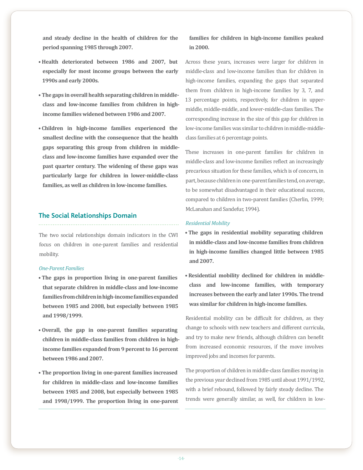**and steady decline in the health of children for the period spanning 1985 through 2007.** 

- **Health deteriorated between 1986 and 2007, but especially for most income groups between the early 1990s and early 2000s.**
- **The gaps in overall health separating children in middleclass and low-income families from children in highincome families widened between 1986 and 2007.**
- **Children in high-income families experienced the smallest decline with the consequence that the health gaps separating this group from children in middleclass and low-income families have expanded over the past quarter century. The widening of these gaps was particularly large for children in lower-middle-class families, as well as children in low-income families.**

#### **The Social Relationships Domain**

The two social relationships domain indicators in the CWI focus on children in one-parent families and residential mobility.

#### *One-Parent Families*

- **The gaps in proportion living in one-parent families that separate children in middle-class and low-income families from children in high-income families expanded between 1985 and 2008, but especially between 1985 and 1998/1999.**
- **Overall, the gap in one-parent families separating children in middle-class families from children in highincome families expanded from 9 percent to 16 percent between 1986 and 2007.**
- **The proportion living in one-parent families increased for children in middle-class and low-income families between 1985 and 2008, but especially between 1985 and 1998/1999. The proportion living in one-parent**

### **families for children in high-income families peaked in 2000.**

Across these years, increases were larger for children in middle-class and low-income families than for children in high-income families, expanding the gaps that separated them from children in high-income families by 3, 7, and 13 percentage points, respectively, for children in uppermiddle, middle-middle, and lower-middle-class families. The corresponding increase in the size of this gap for children in low-income families was similar to children in middle-middleclass families at 6 percentage points.

These increases in one-parent families for children in middle-class and low-income families reflect an increasingly precarious situation for these families, which is of concern, in part, because children in one-parent families tend, on average, to be somewhat disadvantaged in their educational success, compared to children in two-parent families (Cherlin, 1999; McLanahan and Sandefur, 1994).

#### *Residential Mobility*

- **The gaps in residential mobility separating children in middle-class and low-income families from children in high-income families changed little between 1985 and 2007.**
- **Residential mobility declined for children in middleclass and low-income families, with temporary increases between the early and later 1990s. The trend was similar for children in high-income families.**

Residential mobility can be difficult for children, as they change to schools with new teachers and different curricula, and try to make new friends, although children can benefit from increased economic resources, if the move involves improved jobs and incomes for parents.

The proportion of children in middle-class families moving in the previous year declined from 1985 until about 1991/1992, with a brief rebound, followed by fairly steady decline. The trends were generally similar, as well, for children in low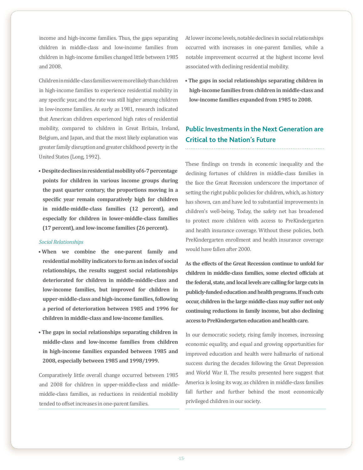income and high-income families. Thus, the gaps separating children in middle-class and low-income families from children in high-income families changed little between 1985 and 2008.

Children in middle-class families were more likely than children in high-income families to experience residential mobility in any specific year, and the rate was still higher among children in low-income families. As early as 1981, research indicated that American children experienced high rates of residential mobility, compared to children in Great Britain, Ireland, Belgium, and Japan, and that the most likely explanation was greater family disruption and greater childhood poverty in the United States (Long, 1992).

**• Despite declines in residential mobility of 6-7 percentage points for children in various income groups during the past quarter century, the proportions moving in a specific year remain comparatively high for children in middle-middle-class families (12 percent), and especially for children in lower-middle-class families (17 percent), and low-income families (26 percent).**

#### *Social Relationships*

- **When we combine the one-parent family and residential mobility indicators to form an index of social relationships, the results suggest social relationships deteriorated for children in middle-middle-class and low-income families, but improved for children in upper-middle-class and high-income families, following a period of deterioration between 1985 and 1996 for children in middle-class and low-income families.**
- **The gaps in social relationships separating children in middle-class and low-income families from children in high-income families expanded between 1985 and 2008, especially between 1985 and 1998/1999.**

Comparatively little overall change occurred between 1985 and 2008 for children in upper-middle-class and middlemiddle-class families, as reductions in residential mobility tended to offset increases in one-parent families.

At lower income levels, notable declines in social relationships occurred with increases in one-parent families, while a notable improvement occurred at the highest income level associated with declining residential mobility.

**• The gaps in social relationships separating children in high-income families from children in middle-class and low-income families expanded from 1985 to 2008.**

## **Public Investments in the Next Generation are Critical to the Nation's Future**

These findings on trends in economic inequality and the declining fortunes of children in middle-class families in the face the Great Recession underscore the importance of setting the right public policies for children, which, as history has shown, can and have led to substantial improvements in children's well-being. Today, the safety net has broadened to protect more children with access to PreKindergarten and health insurance coverage. Without these policies, both PreKindergarten enrollment and health insurance coverage would have fallen after 2000.

**As the effects of the Great Recession continue to unfold for children in middle-class families, some elected officials at the federal, state, and local levels are calling for large cuts in publicly-funded education and health programs. If such cuts occur, children in the large middle-class may suffer not only continuing reductions in family income, but also declining access to PreKindergarten education and health care.**

In our democratic society, rising family incomes, increasing economic equality, and equal and growing opportunities for improved education and health were hallmarks of national success during the decades following the Great Depression and World War II. The results presented here suggest that America is losing its way, as children in middle-class families fall further and further behind the most economically privileged children in our society.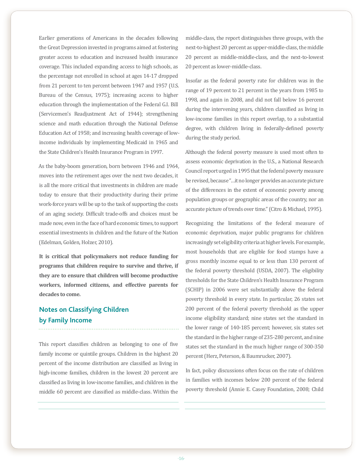Earlier generations of Americans in the decades following the Great Depression invested in programs aimed at fostering greater access to education and increased health insurance coverage. This included expanding access to high schools, as the percentage not enrolled in school at ages 14-17 dropped from 21 percent to ten percent between 1947 and 1957 (U.S. Bureau of the Census, 1975); increasing access to higher education through the implementation of the Federal G.I. Bill (Servicemen's Readjustment Act of 1944); strengthening science and math education through the National Defense Education Act of 1958; and increasing health coverage of lowincome individuals by implementing Medicaid in 1965 and the State Children's Health Insurance Program in 1997.

As the baby-boom generation, born between 1946 and 1964, moves into the retirement ages over the next two decades, it is all the more critical that investments in children are made today to ensure that their productivity during their prime work-force years will be up to the task of supporting the costs of an aging society. Difficult trade-offs and choices must be made now, even in the face of hard economic times, to support essential investments in children and the future of the Nation (Edelman, Golden, Holzer, 2010).

**It is critical that policymakers not reduce funding for programs that children require to survive and thrive, if they are to ensure that children will become productive workers, informed citizens, and effective parents for decades to come.** 

## **Notes on Classifying Children by Family Income**

This report classifies children as belonging to one of five family income or quintile groups. Children in the highest 20 percent of the income distribution are classified as living in high-income families, children in the lowest 20 percent are classified as living in low-income families, and children in the middle 60 percent are classified as middle-class. Within the middle-class, the report distinguishes three groups, with the next-to-highest 20 percent as upper-middle-class, the middle 20 percent as middle-middle-class, and the next-to-lowest 20 percent as lower-middle-class.

Insofar as the federal poverty rate for children was in the range of 19 percent to 21 percent in the years from 1985 to 1998, and again in 2008, and did not fall below 16 percent during the intervening years, children classified as living in low-income families in this report overlap, to a substantial degree, with children living in federally-defined poverty during the study period.

Although the federal poverty measure is used most often to assess economic deprivation in the U.S., a National Research Council report urged in 1995 that the federal poverty measure be revised, because "…it no longer provides an accurate picture of the differences in the extent of economic poverty among population groups or geographic areas of the country, nor an accurate picture of trends over time." (Citro & Michael, 1995).

Recognizing the limitations of the federal measure of economic deprivation, major public programs for children increasingly set eligibility criteria at higher levels. For example, most households that are eligible for food stamps have a gross monthly income equal to or less than 130 percent of the federal poverty threshold (USDA, 2007). The eligibility thresholds for the State Children's Health Insurance Program (SCHIP) in 2006 were set substantially above the federal poverty threshold in every state. In particular, 26 states set 200 percent of the federal poverty threshold as the upper income eligibility standard; nine states set the standard in the lower range of 140-185 percent; however, six states set the standard in the higher range of 235-280 percent, and nine states set the standard in the much higher range of 300-350 percent (Herz, Peterson, & Baumrucker, 2007).

In fact, policy discussions often focus on the rate of children in families with incomes below 200 percent of the federal poverty threshold (Annie E. Casey Foundation, 2008; Child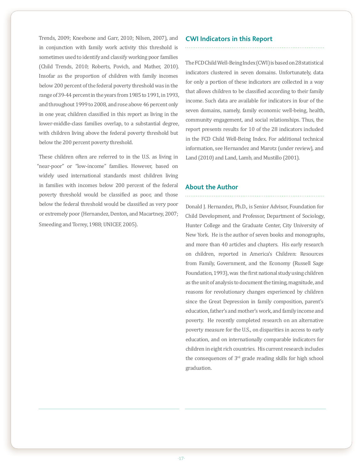Trends, 2009; Kneebone and Garr, 2010; Nilsen, 2007), and in conjunction with family work activity this threshold is sometimes used to identify and classify working poor families (Child Trends, 2010; Roberts, Povich, and Mather, 2010). Insofar as the proportion of children with family incomes below 200 percent of the federal poverty threshold was in the range of 39-44 percent in the years from 1985 to 1991, in 1993, and throughout 1999 to 2008, and rose above 46 percent only in one year, children classified in this report as living in the lower-middle-class families overlap, to a substantial degree, with children living above the federal poverty threshold but below the 200 percent poverty threshold.

These children often are referred to in the U.S. as living in "near-poor" or "low-income" families. However, based on widely used international standards most children living in families with incomes below 200 percent of the federal poverty threshold would be classified as poor, and those below the federal threshold would be classified as very poor or extremely poor (Hernandez, Denton, and Macartney, 2007; Smeeding and Torrey, 1988; UNICEF, 2005).

#### **CWI Indicators in this Report**

The FCD Child Well-Being Index (CWI) is based on 28 statistical indicators clustered in seven domains. Unfortunately, data for only a portion of these indicators are collected in a way that allows children to be classified according to their family income. Such data are available for indicators in four of the seven domains, namely, family economic well-being, health, community engagement, and social relationships. Thus, the report presents results for 10 of the 28 indicators included in the FCD Child Well-Being Index. For additional technical information, see Hernandez and Marotz (under review), and Land (2010) and Land, Lamb, and Mustillo (2001).

#### **About the Author**

Donald J. Hernandez, Ph.D., is Senior Advisor, Foundation for Child Development, and Professor, Department of Sociology, Hunter College and the Graduate Center, City University of New York. He is the author of seven books and monographs, and more than 40 articles and chapters. His early research on children, reported in America's Children: Resources from Family, Government, and the Economy (Russell Sage Foundation, 1993), was the first national study using children as the unit of analysis to document the timing, magnitude, and reasons for revolutionary changes experienced by children since the Great Depression in family composition, parent's education, father's and mother's work, and family income and poverty. He recently completed research on an alternative poverty measure for the U.S., on disparities in access to early education, and on internationally comparable indicators for children in eight rich countries. His current research includes the consequences of 3rd grade reading skills for high school graduation.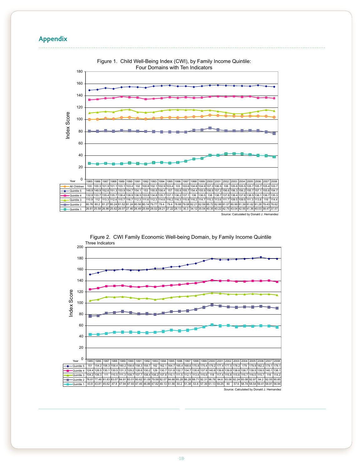

Figure 1. Child Well-Being Index (CWI), by Family Income Quintile:

Source: Calculated by Donald J. Hernandez



Figure 2. CWI Family Economic Well-being Domain, by Family Income Quintile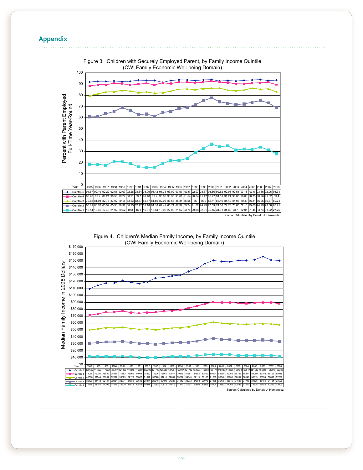



Figure 4. Children's Median Family Income, by Family Income Quintile (CWI Family Economic Well-being Domain)

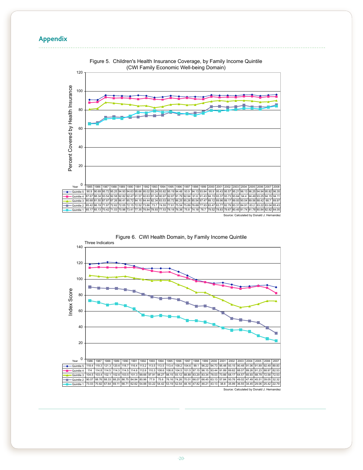



Source: Calculated by Donald J. H



Figure 6. CWI Health Domain, by Family Income Quintile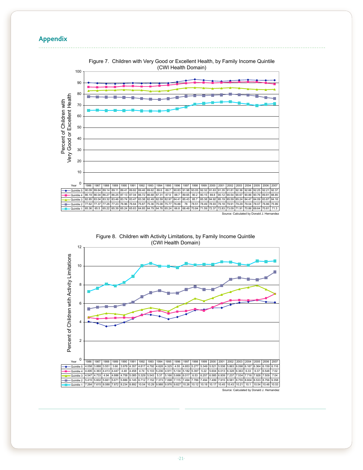

Figure 7. Children with Very Good or Excellent Health, by Family Income Quintile

Figure 8. Children with Activity Limitations, by Family Income Quintile (CWI Health Domain)

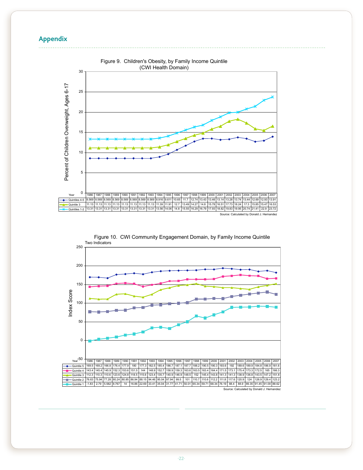



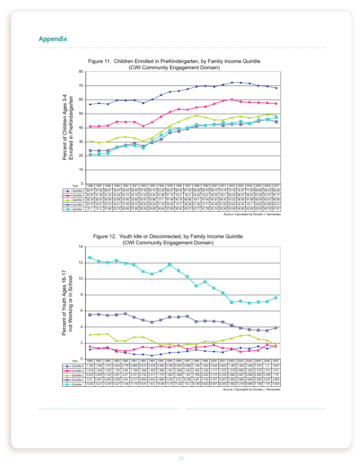



Figure 12. Youth Idle or Disconnected, by Family Income Quintile

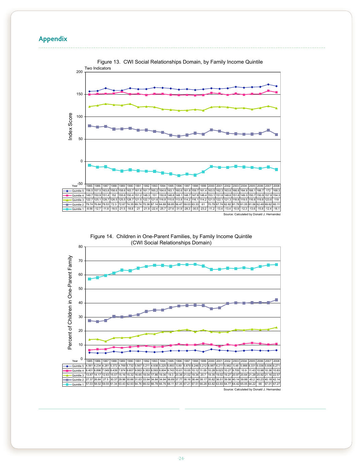

Figure 13. CWI Social Relationships Domain, by Family Income Quintile



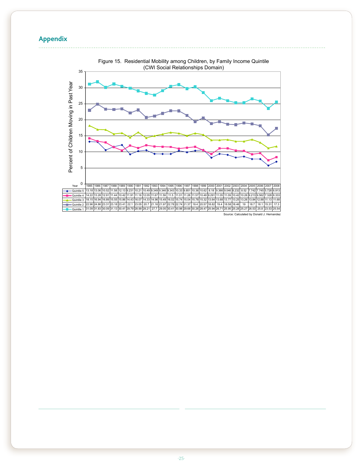

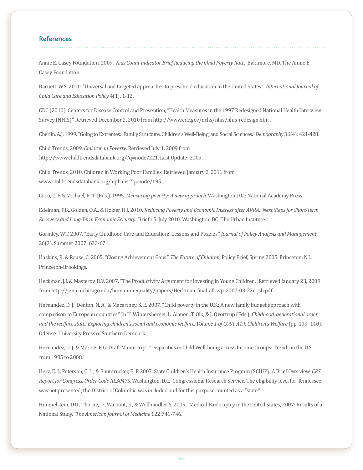#### **References**

Annie E. Casey Foundation. 2009. *Kids Count Indicator Brief Reducing the Child Poverty Rate.* Baltimore, MD. The Annie E. Casey Foundation.

Barnett, W.S. 2010. "Universal and targeted approaches to preschool education in the United States". *International Journal of Child Care and Education Policy* 4(1), 1-12.

CDC (2010). Centers for Disease Control and Prevention, "Health Measures in the 1997 Redesigned National Health Interview Survey (NHIS)." Retrieved December 2, 2010 from http://www.cdc.gov/nchs/nhis/nhis\_redesign.htm .

Cherlin, A.J. 1999. "Going to Extremes: Family Structure, Children's Well-Being, and Social Sciences." *Demography* 36(4): 421-428.

Child Trends. 2009. *Children in Poverty*. Retrieved July 1, 2009 from http://www.childtrendsdatabank.org/?q=node/221. Last Update: 2009.

Child Trends. 2010. Children in Working Poor Families. Retrieved January 2, 2011 from www.childtrendsdatabank.org/alphalist?q=node/195.

Citro, C. F. & Michael, R. T. (Eds.). 1995. *Measuring poverty: A new approach*. Washington D.C.: National Academy Press.

Edelman, P.B., Golden, O.A., & Holzer, H.J. 2010. *Reducing Poverty and Economic Distress after ARRA: Next Steps for Short-Term Recovery and Long-Term Economic Security.* Brief 15. July 2010. Washington, DC: The Urban Institute.

Gormley, W.T. 2007. "Early Childhood Care and Education: Lessons and Puzzles." *Journal of Policy Analysis and Management*, 26(3), Summer 2007: 633-671.

Haskins, R. & Rouse, C. 2005. "Closing Achievement Gaps." *The Future of Children*, Policy Brief, Spring 2005. Princeton, N.J.: Princeton-Brookings.

Heckman, J.J. & Masterov, D.V. 2007. "The Productivity Argument for Investing in Young Children." Retrieved January 23, 2009 from http://jenni.uchicago.edu/human-inequality/papers/Heckman\_final\_all\_wp\_2007-03-22c\_jsb.pdf.

Hernandez, D. J., Denton, N. A., & Macartney, S. E. 2007. "Child poverty in the U.S.: A new family budget approach with comparison to European countries." In H. Wintersberger, L. Alanen, T. Olk, & J. Qvortrup (Eds.), *Childhood, generational order and the welfare state: Exploring children's social and economic welfare, Volume 1 of COST A19: Children's Welfare* (pp. 109–140). Odense: University Press of Southern Denmark.

Hernandez, D. J. & Marotz, K.G. Draft Manuscript. "Disparities in Child Well-being across Income Groups: Trends in the U.S. from 1985 to 2008."

Herz, E. J., Peterson, C. L., & Baumrucker, E. P. 2007. State Children's Health Insurance Program (SCHIP): A Brief Overview. *CRS Report for Congress, Order Code RL30473*. Washington, D.C.: Congressional Research Service. The eligibility level for Tennessee was not presented; the District of Columbia was included and for this purpose counted as a "state."

Himmelstein, D.U., Thorne, D., Warrant, E., & Wollhandler, S. 2009. "Medical Bankruptcy in the United States, 2007: Results of a National Study." *The American Journal of Medicine* 122:741-746.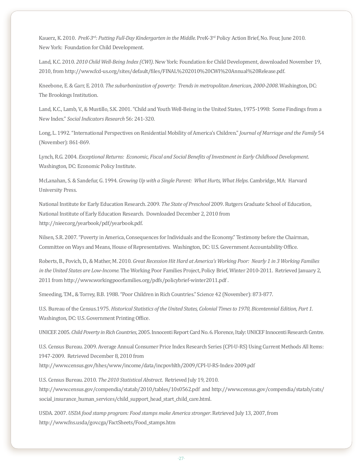Kauerz, K. 2010. *PreK-3rd: Putting Full-Day Kindergarten in the Middle.* PreK-3rd Policy Action Brief, No. Four, June 2010. New York: Foundation for Child Development.

Land, K.C. 2010. *2010 Child Well-Being Index (CWI)*. New York: Foundation for Child Development, downloaded November 19, 2010, from http://www.fcd-us.org/sites/default/files/FINAL%202010%20CWI%20Annual%20Release.pdf.

Kneebone, E. & Garr, E. 2010. *The suburbanization of poverty: Trends in metropolitan American, 2000-2008*. Washington, DC: The Brookings Institution.

Land, K.C., Lamb, V., & Mustillo, S.K. 2001. "Child and Youth Well-Being in the United States, 1975-1998: Some Findings from a New Index." *Social Indicators Research* 56: 241-320.

Long, L. 1992. "International Perspectives on Residential Mobility of America's Children." *Journal of Marriage and the Family* 54 (November): 861-869.

Lynch, R.G. 2004. *Exceptional Returns: Economic, Fiscal and Social Benefits of Investment in Early Childhood Development*. Washington, DC: Economic Policy Institute.

McLanahan, S. & Sandefur, G. 1994. *Growing Up with a Single Parent: What Hurts, What Helps*. Cambridge, MA: Harvard University Press.

National Institute for Early Education Research. 2009. *The State of Preschool* 2009. Rutgers Graduate School of Education, National Institute of Early Education Research. Downloaded December 2, 2010 from http://nieer.org/yearbook/pdf/yearbook.pdf.

Nilsen, S.R. 2007. "Poverty in America, Consequences for Individuals and the Economy." Testimony before the Chairman, Committee on Ways and Means, House of Representatives. Washington, DC: U.S. Government Accountability Office.

Roberts, B., Povich, D., & Mather, M. 2010. *Great Recession Hit Hard at America's Working Poor: Nearly 1 in 3 Working Families in the United States are Low-Income.* The Working Poor Families Project, Policy Brief, Winter 2010-2011. Retrieved January 2, 2011 from http://www.workingpoorfamilies.org/pdfs/policybrief-winter2011.pdf .

Smeeding, T.M., & Torrey, B.B. 1988. "Poor Children in Rich Countries." Science 42 (November): 873-877.

U.S. Bureau of the Census.1975. *Historical Statistics of the United States, Colonial Times to 1970, Bicentennial Edition, Part 1*. Washington, DC: U.S. Government Printing Office.

UNICEF. 2005. *Child Poverty in Rich Countries*, 2005. Innocenti Report Card No. 6. Florence, Italy: UNICEF Innocenti Research Centre.

U.S. Census Bureau. 2009. Average Annual Consumer Price Index Research Series (CPI-U-RS) Using Current Methods All Items: 1947-2009. Retrieved December 8, 2010 from

http://www.census.gov/hhes/www/income/data/incpovhlth/2009/CPI-U-RS-Index-2009.pdf

U.S. Census Bureau. 2010. *The 2010 Statistical Abstract*. Retrieved July 19, 2010. http://www.census.gov/compendia/statab/2010/tables/10s0562.pdf and http://www.census.gov/compendia/statab/cats/ social\_insurance\_human\_services/child\_support\_head\_start\_child\_care.html.

USDA. 2007. *USDA food stamp program: Food stamps make America stronger*. Retrieved July 13, 2007, from http://www.fns.usda/gov.cga/FactSheets/Food\_stamps.htm